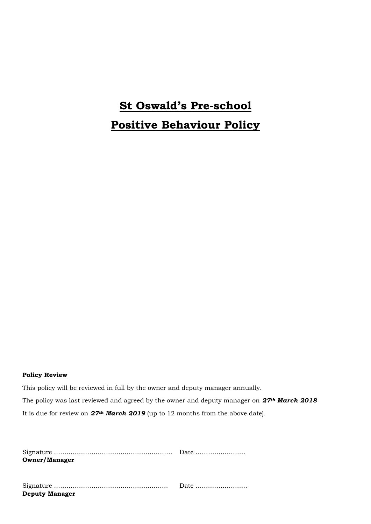# **St Oswald's Pre-school Positive Behaviour Policy**

#### **Policy Review**

This policy will be reviewed in full by the owner and deputy manager annually. The policy was last reviewed and agreed by the owner and deputy manager on *27th March 2018* It is due for review on *27th March 2019* (up to 12 months from the above date).

| <b>Owner/Manager</b>  |  |
|-----------------------|--|
|                       |  |
|                       |  |
|                       |  |
| <b>Deputy Manager</b> |  |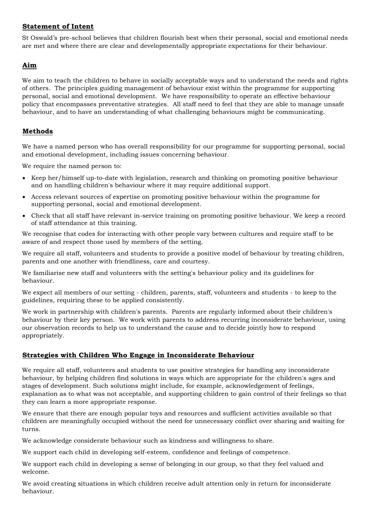## **Statement of Intent**

St Oswald's pre-school believes that children flourish best when their personal, social and emotional needs are met and where there are clear and developmentally appropriate expectations for their behaviour.

# **Aim**

We aim to teach the children to behave in socially acceptable ways and to understand the needs and rights of others. The principles guiding management of behaviour exist within the programme for supporting personal, social and emotional development. We have responsibility to operate an effective behaviour policy that encompasses preventative strategies. All staff need to feel that they are able to manage unsafe behaviour, and to have an understanding of what challenging behaviours might be communicating.

## **Methods**

We have a named person who has overall responsibility for our programme for supporting personal, social and emotional development, including issues concerning behaviour.

We require the named person to:

- Keep her/himself up-to-date with legislation, research and thinking on promoting positive behaviour and on handling children's behaviour where it may require additional support.
- Access relevant sources of expertise on promoting positive behaviour within the programme for supporting personal, social and emotional development.
- Check that all staff have relevant in-service training on promoting positive behaviour. We keep a record of staff attendance at this training.

We recognise that codes for interacting with other people vary between cultures and require staff to be aware of and respect those used by members of the setting.

We require all staff, volunteers and students to provide a positive model of behaviour by treating children, parents and one another with friendliness, care and courtesy.

We familiarise new staff and volunteers with the setting's behaviour policy and its guidelines for behaviour.

We expect all members of our setting - children, parents, staff, volunteers and students - to keep to the guidelines, requiring these to be applied consistently.

We work in partnership with children's parents. Parents are regularly informed about their children's behaviour by their key person. We work with parents to address recurring inconsiderate behaviour, using our observation records to help us to understand the cause and to decide jointly how to respond appropriately.

## **Strategies with Children Who Engage in Inconsiderate Behaviour**

We require all staff, volunteers and students to use positive strategies for handling any inconsiderate behaviour, by helping children find solutions in ways which are appropriate for the children's ages and stages of development. Such solutions might include, for example, acknowledgement of feelings, explanation as to what was not acceptable, and supporting children to gain control of their feelings so that they can learn a more appropriate response.

We ensure that there are enough popular toys and resources and sufficient activities available so that children are meaningfully occupied without the need for unnecessary conflict over sharing and waiting for turns.

We acknowledge considerate behaviour such as kindness and willingness to share.

We support each child in developing self-esteem, confidence and feelings of competence.

We support each child in developing a sense of belonging in our group, so that they feel valued and welcome.

We avoid creating situations in which children receive adult attention only in return for inconsiderate behaviour.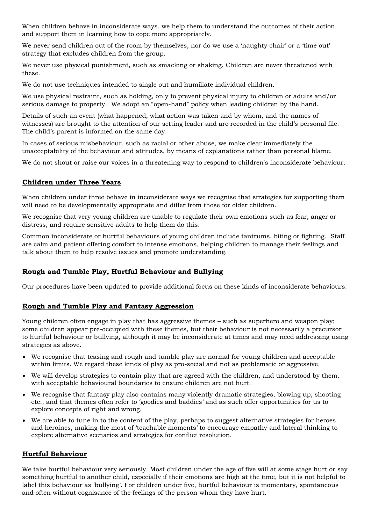When children behave in inconsiderate ways, we help them to understand the outcomes of their action and support them in learning how to cope more appropriately.

We never send children out of the room by themselves, nor do we use a 'naughty chair' or a 'time out' strategy that excludes children from the group.

We never use physical punishment, such as smacking or shaking. Children are never threatened with these.

We do not use techniques intended to single out and humiliate individual children.

We use physical restraint, such as holding, only to prevent physical injury to children or adults and/or serious damage to property. We adopt an "open-hand" policy when leading children by the hand.

Details of such an event (what happened, what action was taken and by whom, and the names of witnesses) are brought to the attention of our setting leader and are recorded in the child's personal file. The child's parent is informed on the same day.

In cases of serious misbehaviour, such as racial or other abuse, we make clear immediately the unacceptability of the behaviour and attitudes, by means of explanations rather than personal blame.

We do not shout or raise our voices in a threatening way to respond to children's inconsiderate behaviour.

#### **Children under Three Years**

When children under three behave in inconsiderate ways we recognise that strategies for supporting them will need to be developmentally appropriate and differ from those for older children.

We recognise that very young children are unable to regulate their own emotions such as fear, anger or distress, and require sensitive adults to help them do this.

Common inconsiderate or hurtful behaviours of young children include tantrums, biting or fighting. Staff are calm and patient offering comfort to intense emotions, helping children to manage their feelings and talk about them to help resolve issues and promote understanding.

## **Rough and Tumble Play, Hurtful Behaviour and Bullying**

Our procedures have been updated to provide additional focus on these kinds of inconsiderate behaviours.

#### **Rough and Tumble Play and Fantasy Aggression**

Young children often engage in play that has aggressive themes – such as superhero and weapon play; some children appear pre-occupied with these themes, but their behaviour is not necessarily a precursor to hurtful behaviour or bullying, although it may be inconsiderate at times and may need addressing using strategies as above.

- We recognise that teasing and rough and tumble play are normal for young children and acceptable within limits. We regard these kinds of play as pro-social and not as problematic or aggressive.
- We will develop strategies to contain play that are agreed with the children, and understood by them, with acceptable behavioural boundaries to ensure children are not hurt.
- We recognise that fantasy play also contains many violently dramatic strategies, blowing up, shooting etc., and that themes often refer to 'goodies and baddies' and as such offer opportunities for us to explore concepts of right and wrong.
- We are able to tune in to the content of the play, perhaps to suggest alternative strategies for heroes and heroines, making the most of 'teachable moments' to encourage empathy and lateral thinking to explore alternative scenarios and strategies for conflict resolution.

#### **Hurtful Behaviour**

We take hurtful behaviour very seriously. Most children under the age of five will at some stage hurt or say something hurtful to another child, especially if their emotions are high at the time, but it is not helpful to label this behaviour as 'bullying'. For children under five, hurtful behaviour is momentary, spontaneous and often without cognisance of the feelings of the person whom they have hurt.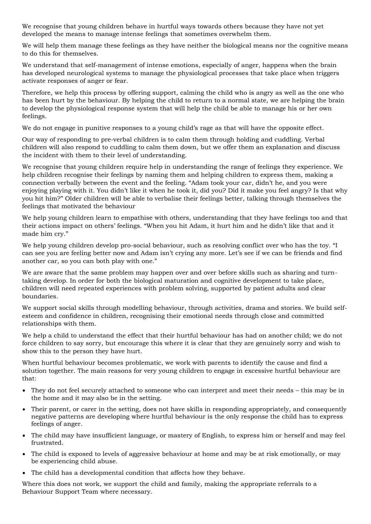We recognise that young children behave in hurtful ways towards others because they have not yet developed the means to manage intense feelings that sometimes overwhelm them.

We will help them manage these feelings as they have neither the biological means nor the cognitive means to do this for themselves.

We understand that self-management of intense emotions, especially of anger, happens when the brain has developed neurological systems to manage the physiological processes that take place when triggers activate responses of anger or fear.

Therefore, we help this process by offering support, calming the child who is angry as well as the one who has been hurt by the behaviour. By helping the child to return to a normal state, we are helping the brain to develop the physiological response system that will help the child be able to manage his or her own feelings.

We do not engage in punitive responses to a young child's rage as that will have the opposite effect.

Our way of responding to pre-verbal children is to calm them through holding and cuddling. Verbal children will also respond to cuddling to calm them down, but we offer them an explanation and discuss the incident with them to their level of understanding.

We recognise that young children require help in understanding the range of feelings they experience. We help children recognise their feelings by naming them and helping children to express them, making a connection verbally between the event and the feeling. "Adam took your car, didn't he, and you were enjoying playing with it. You didn't like it when he took it, did you? Did it make you feel angry? Is that why you hit him?" Older children will be able to verbalise their feelings better, talking through themselves the feelings that motivated the behaviour

We help young children learn to empathise with others, understanding that they have feelings too and that their actions impact on others' feelings. "When you hit Adam, it hurt him and he didn't like that and it made him cry."

We help young children develop pro-social behaviour, such as resolving conflict over who has the toy. "I can see you are feeling better now and Adam isn't crying any more. Let's see if we can be friends and find another car, so you can both play with one."

We are aware that the same problem may happen over and over before skills such as sharing and turntaking develop. In order for both the biological maturation and cognitive development to take place, children will need repeated experiences with problem solving, supported by patient adults and clear boundaries.

We support social skills through modelling behaviour, through activities, drama and stories. We build selfesteem and confidence in children, recognising their emotional needs through close and committed relationships with them.

We help a child to understand the effect that their hurtful behaviour has had on another child; we do not force children to say sorry, but encourage this where it is clear that they are genuinely sorry and wish to show this to the person they have hurt.

When hurtful behaviour becomes problematic, we work with parents to identify the cause and find a solution together. The main reasons for very young children to engage in excessive hurtful behaviour are that:

- They do not feel securely attached to someone who can interpret and meet their needs this may be in the home and it may also be in the setting.
- Their parent, or carer in the setting, does not have skills in responding appropriately, and consequently negative patterns are developing where hurtful behaviour is the only response the child has to express feelings of anger.
- The child may have insufficient language, or mastery of English, to express him or herself and may feel frustrated.
- The child is exposed to levels of aggressive behaviour at home and may be at risk emotionally, or may be experiencing child abuse.
- The child has a developmental condition that affects how they behave.

Where this does not work, we support the child and family, making the appropriate referrals to a Behaviour Support Team where necessary.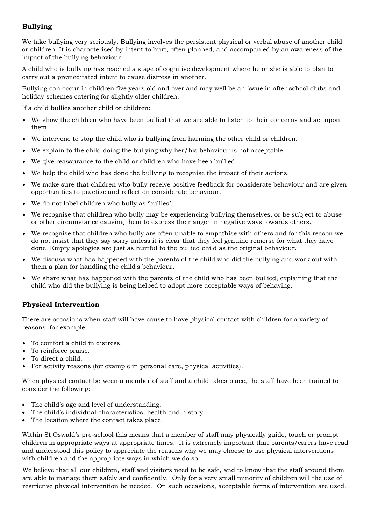# **Bullying**

We take bullying very seriously. Bullying involves the persistent physical or verbal abuse of another child or children. It is characterised by intent to hurt, often planned, and accompanied by an awareness of the impact of the bullying behaviour.

A child who is bullying has reached a stage of cognitive development where he or she is able to plan to carry out a premeditated intent to cause distress in another.

Bullying can occur in children five years old and over and may well be an issue in after school clubs and holiday schemes catering for slightly older children.

If a child bullies another child or children:

- We show the children who have been bullied that we are able to listen to their concerns and act upon them.
- We intervene to stop the child who is bullying from harming the other child or children.
- We explain to the child doing the bullying why her/his behaviour is not acceptable.
- We give reassurance to the child or children who have been bullied.
- We help the child who has done the bullying to recognise the impact of their actions.
- We make sure that children who bully receive positive feedback for considerate behaviour and are given opportunities to practise and reflect on considerate behaviour.
- We do not label children who bully as 'bullies'.
- We recognise that children who bully may be experiencing bullying themselves, or be subject to abuse or other circumstance causing them to express their anger in negative ways towards others.
- We recognise that children who bully are often unable to empathise with others and for this reason we do not insist that they say sorry unless it is clear that they feel genuine remorse for what they have done. Empty apologies are just as hurtful to the bullied child as the original behaviour.
- We discuss what has happened with the parents of the child who did the bullying and work out with them a plan for handling the child's behaviour.
- We share what has happened with the parents of the child who has been bullied, explaining that the child who did the bullying is being helped to adopt more acceptable ways of behaving.

#### **Physical Intervention**

There are occasions when staff will have cause to have physical contact with children for a variety of reasons, for example:

- To comfort a child in distress.
- To reinforce praise.
- To direct a child.
- For activity reasons (for example in personal care, physical activities).

When physical contact between a member of staff and a child takes place, the staff have been trained to consider the following:

- The child's age and level of understanding.
- The child's individual characteristics, health and history.
- The location where the contact takes place.

Within St Oswald's pre-school this means that a member of staff may physically guide, touch or prompt children in appropriate ways at appropriate times. It is extremely important that parents/carers have read and understood this policy to appreciate the reasons why we may choose to use physical interventions with children and the appropriate ways in which we do so.

We believe that all our children, staff and visitors need to be safe, and to know that the staff around them are able to manage them safely and confidently. Only for a very small minority of children will the use of restrictive physical intervention be needed. On such occasions, acceptable forms of intervention are used.